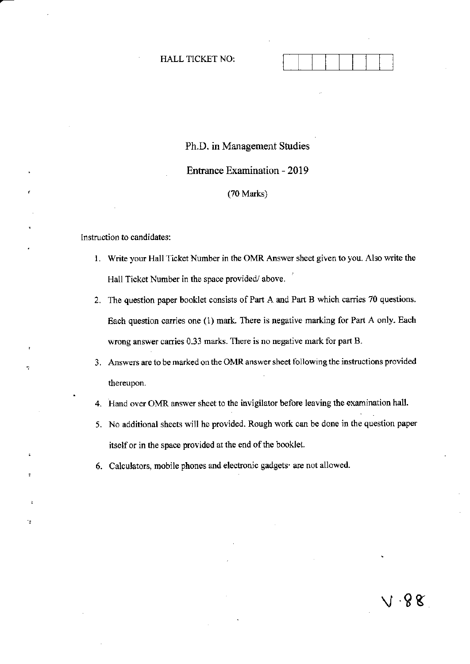#### HALL TICKET NO:

# Ph.D. in Management Studies

Entrance Examination - 2019

(70 Marks)

lnstruction to candidates:

٠,

- 1. Write your Hall Ticket Number in the OMR Answer sheet given to you. Also write the Hall Ticket Number in the space provided/ above.
- 2. The question paper booklet consists of Part A and Part B which carries 70 questions. Each question oaries one (1) mark. There is negative marking fot Part A only. Each wrong answer carries 0.33 marks. There is no negative mark for part B.
- 3. Answers are to be marked on the OMR answer sheet following the instructions provided thereupon.
- 4. Hand over OMR answer sheet to the invigilator beforc leaving the examination halt.
- 5. No additjonal sheets will he provided. Rough work can be done in the question paper itself or in the space provided at the end of the booklet.
- 6. Calculators, mobile phones and electronic gadgets are not allowed.

v 8s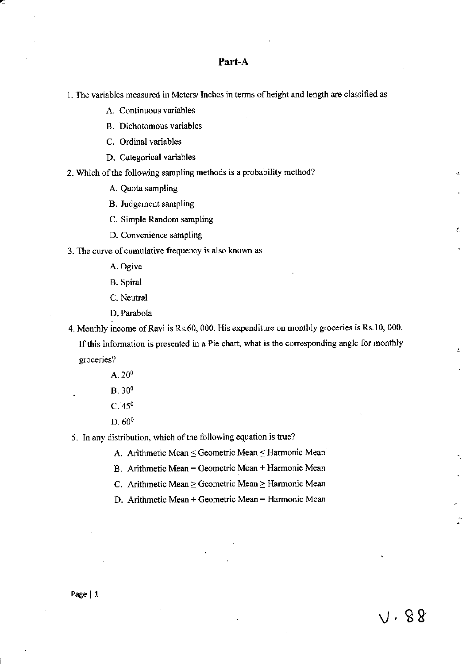### Part-A

1. The variables measured in Meters/ Inches in terms of height and length are classified as

A. Continuous variables

**B.** Dichotomous variables

C. Ordinal variables

D. Categorical variables

2. Which of the following sampling methods is a probability method?

A. Quota sampling

B. Judgement sampling

C. Simple Random sampling

D. Convenience sampling

3. The curve of cumulative frequency is also known as

A. Ogive

**B.** Spiral

C. Neutral

D. Parabola

4. Monthly income of Ravi is Rs.60, 000. His expenditure on monthly groceries is Rs.10, 000. If this information is presented in a Pie chart, what is the corresponding angle for monthly groceries?

- $A.20^0$  $B. 30<sup>0</sup>$  $C.45^{\circ}$
- $D.60^0$

5. In any distribution, which of the following equation is true?

A. Arithmetic Mean < Geometric Mean < Harmonic Mean

B. Arithmetic Mean = Geometric Mean + Harmonic Mean

C. Arithmetic Mean  $\geq$  Geometric Mean  $\geq$  Harmonic Mean

D. Arithmetic Mean + Geometric Mean = Harmonic Mean

 $V.88$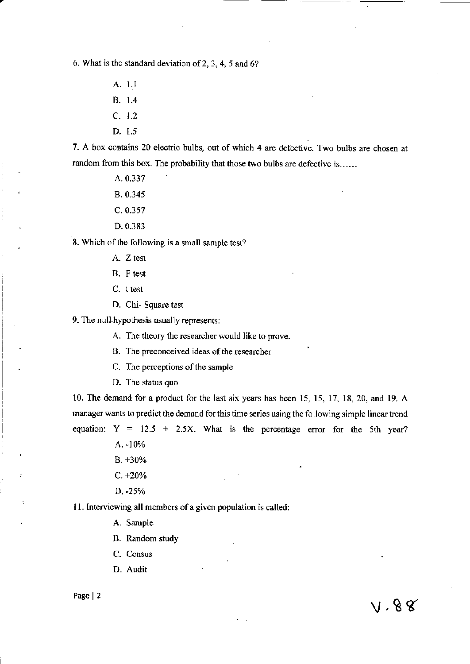6. What is the standard deviation of 2, 3, 4, 5 and 6?

- A. 1.1
- **B.** 1.4
- $C. 1.2$
- D. 1.5

7. A box contains 20 electric bulbs, out of which 4 are defective. Two bulbs are chosen at random from this box. The probability that those two bulbs are defective is......

- A. 0.337
- B. 0.345
- $C. 0.357$
- D. 0.383

8. Which of the following is a small sample test?

- A. Z test
- B. F test
- C. t test
- D. Chi-Square test

9. The null hypothesis usually represents:

A. The theory the researcher would like to prove.

B. The preconceived ideas of the researcher

- C. The perceptions of the sample
- D. The status quo

10. The demand for a product for the last six years has been 15, 15, 17, 18, 20, and 19. A manager wants to predict the demand for this time series using the following simple linear trend equation:  $Y = 12.5 + 2.5X$ . What is the percentage error for the 5th year?

 $V.88$ 

A. -10%

- $B. +30%$
- $C. +20%$
- D. -25%

11. Interviewing all members of a given population is called:

A. Sample

B. Random study

C. Census

D. Audit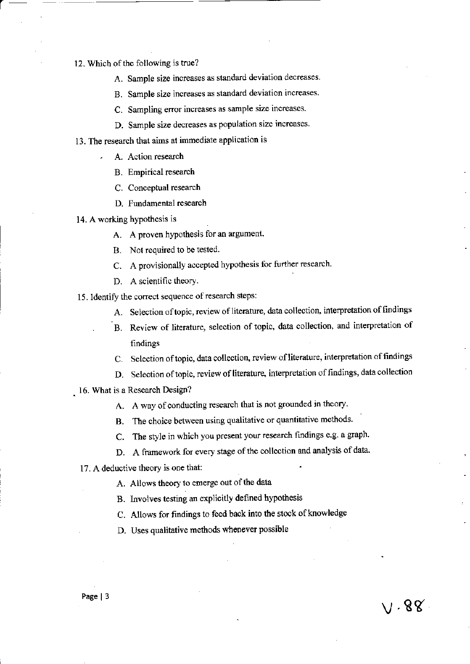12. Which of the following is true?

A. Sample size increases as standard deviation decreases.

B. Sample size increases as standard deviation increases.

C. Sampling error increases as sample size increases.

D. Sample size decreases as population size increases.

13. The research that aims at immediate application is

- A. Action research
	- B. Empirical research
	- C. Conceptual research
	- D. Fundamental research
- 14. A working hypothesis is
	- A. A proven hypothesis for an argument.
	- B. Not required to be tested.
	- C. A provisionally accepted hypothesis for further research.
	- D. A scientific theory.

15. Identify the correct sequence of research steps:

- A. Selection of topic, review of literature, data collection, interpretation of findings
- B. Review of literature, selection of topic, data collection, and interpretation of findings
- C. Selection of topic, data collection, review of literature, interpretation of findings
- D. Selection of topic, review of literature, interpretation of findings, data collection

 $\vee$  . 88

- 16. What is a Research Design?
	- A. A way of conducting research that is not grounded in theory.
	- B. The choice between using qualitative or quantitative methods.
	- C. The style in which you present your research findings e.g. a graph.
	- D. A framework for every stage of the collection and analysis of data.
	- 17. A deductive theory is one that:
		- A. Allows theory to emerge out of the data
		- B. Involves testing an explicitly defined hypothesis
		- C. Allows for findings to feed back into the stock of knowledge
		- D. Uses qualitative methods whenever possible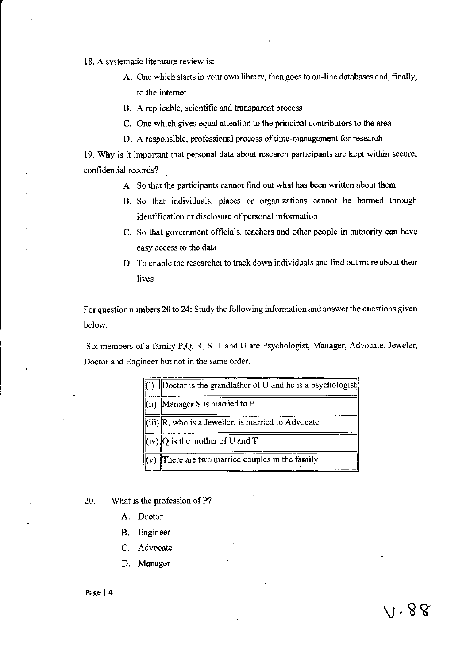18. A systematic literature review is:

- A. One which starts in your own library, then goes to on-line databases and, finally, to the internet
- B. A replicable, scientific and tramparent process
- C. One which gives equal attention to the principal contributors to the area
- D. A responsible, professional process of time-management for research

19. Wly is it important that personal data about research participants are kept within secure. confidential records?

- A. So that the participants cannot find out what has been written about them
- B. So that individuals, places or organizations cannot be harmed through identification or disclosure of personal information
- C. So that government officials, teachers and other people in authority can have easy access to the data
- D. To enable the researcher to track down individuals and find out more about their livcs

For question numbers 20 to 24: Study the following information and answer the questions given below. '

Six members of a family P,Q, R, S, T and U are Psychologist, Manager, Advocate, Jeweler, Doctor and Engineer but not in the same order.

| Doctor is the grandfather of U and he is a psychologist                       |
|-------------------------------------------------------------------------------|
| $\left\  \right\ $ (ii) Manager S is married to P                             |
| $\left\Vert$ (iii) $\right\Vert$ R, who is a Jeweller, is married to Advocate |
| $\ $ (iv) $\ Q\ $ is the mother of U and T                                    |
| $\ $ (v) There are two married couples in the family                          |

20. What is the profession of P?

- A. Doctor
- B. Engineer
- C, Advocate
- D. Manager

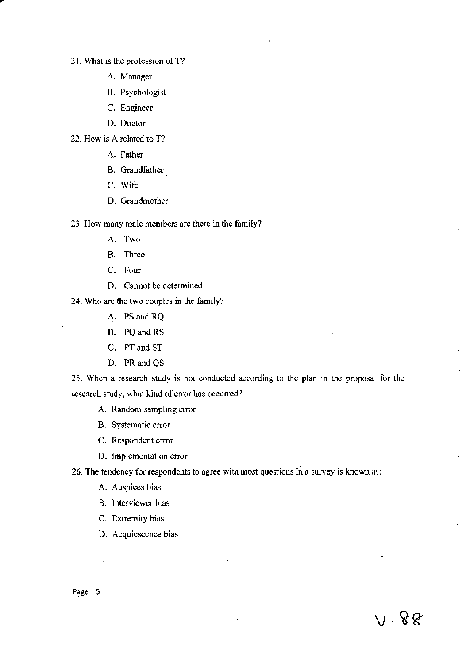21. What is the profession of T?

- A. Manager
- B. Psychologist
- C. Engineer
- D. Doctor

22. How is A related to T?

- A. Father
- B. Grandfather
- C. Wife
- D. Grandmother

23. How many male members are there in the family?

- A. Two
- B. Ibree
- C. Four
- D. Cannot be determined

24. Who are the two couples in the family?

- A. PS and RQ
- B. PQ and RS
- C. PT and ST
- D. PR and QS

25. When a research study is not conducted according to the plan in the proposal for the esearch study, what kind of error has occurred?

- A. Random sampling error
- B. Systematic error
- C. Respondent eror
- D. lmplementation error

26. The tendency for respondents to agree with most questions in a survey is known as:

 $v.88$ 

- A. Auspices bias
- B. lnterviewer bias
- C. Extremity bias
- D. Acquiescence bias

Page | 5

 $\mathcal{L}_{\mathcal{A}}$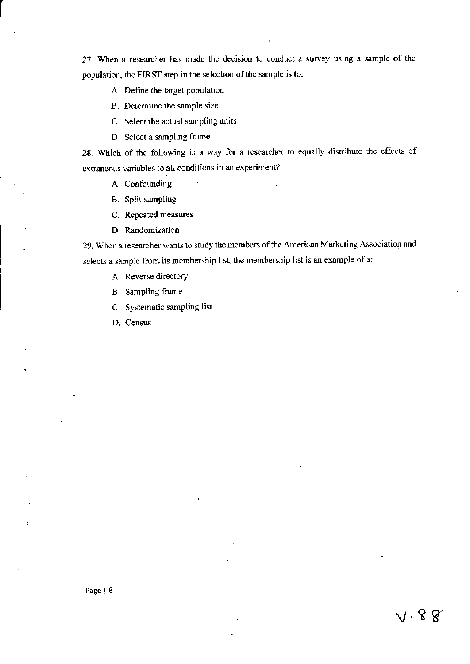27. When a researcher has made the decision to conduct a survey using a sample of the population, the FIRST step in the selection of the sample is to:

A. Define the target population

B. Determine the sample size

C. Select the actual sampling units

D. Select a sampling frarne

28. Which of the following is a way for a researcher to equally distribute the effects of extraneous variables to all conditions in an experiment?

A. Confounding

B. Split sampling

C. Repeated measures

D. Randomization

29. When a researcher wants to study the members of the American Marketing Association and selects a sample from its membership list, the membership list is an example ofa:

 $V \cdot 88$ 

A. Reverse directory

B. Sampling Fame

C. Systematic sampling list

'D. Census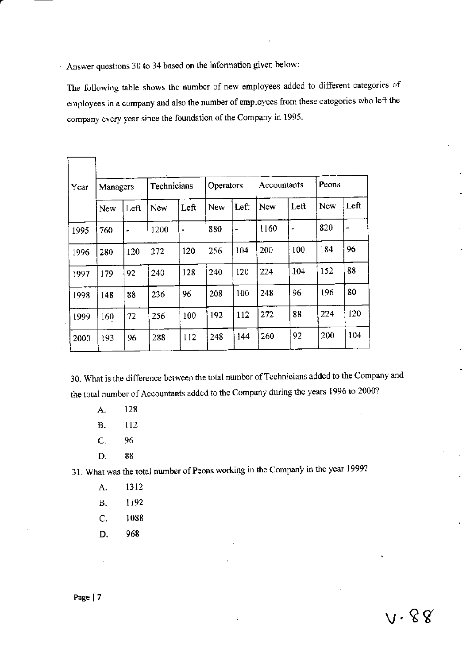Answer questions 30 to 34 based on the information given below:

The following table shows the number of new employees added to different categories of employees in a company and also the number of employees from these categories who left the company every year since the foundation of the Company in 1995.

| Year | Managers |      | Technicians |      | Operators  |      | Accountants |      | Peons      |      |
|------|----------|------|-------------|------|------------|------|-------------|------|------------|------|
|      | New      | Left | New         | Left | <b>New</b> | Left | New         | Left | <b>New</b> | Left |
| 1995 | 760      |      | 1200        | ٠    | 880        |      | 1160        | -    | 820        | ,    |
| 1996 | 280      | 120  | 272         | 120  | 256        | 104  | 200         | 100  | 184        | 96   |
| 1997 | 179      | 92   | 240         | 128  | 240        | 120  | 224         | 104  | 152        | 88   |
| 1998 | 148      | 88   | 236         | 96   | 208        | 100  | 248         | 96   | 196        | 80   |
| 1999 | 160      | 72   | 256         | 100  | 192        | 112  | 272         | 88   | 224        | 120  |
| 2000 | 193      | 96   | 288         | 112  | 248        | 144  | 260         | 92   | 200        | 104  |

30. What is the difference between the total number of Technicians added to the Company and the total number of Accountants added to the Company during the years 1996 to 2000?

128 A.

Г

٦

- $\overline{B}$ . 112
- $\overline{C}$ . 96
- 88 D.

31. What was the total number of Peons working in the Company in the year 1999?

- 1312 A.
- 1192 **B.**
- $\overline{C}$ . 1088
- D. 968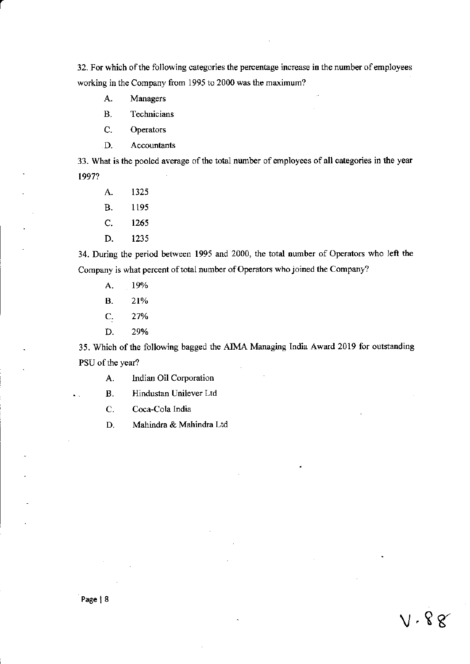32. For which of the following categories the percentage increase in the number of employees working in the Company from 1995 to 2000 was the maximum?

- A. Managers
- **B.** Technicians
- C. Operators
- D. Accountants

33. What is the pooled average of the total number of employees of all categories in the year 1997?

- A. 1325
- **B.** 1195
- $C.$ 1265
- D. 1235

34. During the period between 1995 and 2000, the total number of Operators who left the Company is what percent of total number of Operators who joined the Company?

- A. 19%
- **B.** 21%
- 27% C.
- D. 29%

35. Which of the following bagged the AIMA Managing India Award 2019 for outstanding PSU of the year?

 $V \cdot 88$ 

Indian Oil Corporation A.

Hindustan Unilever Ltd **B.** 

C. Coca-Cola India

D. Mahindra & Mahindra Ltd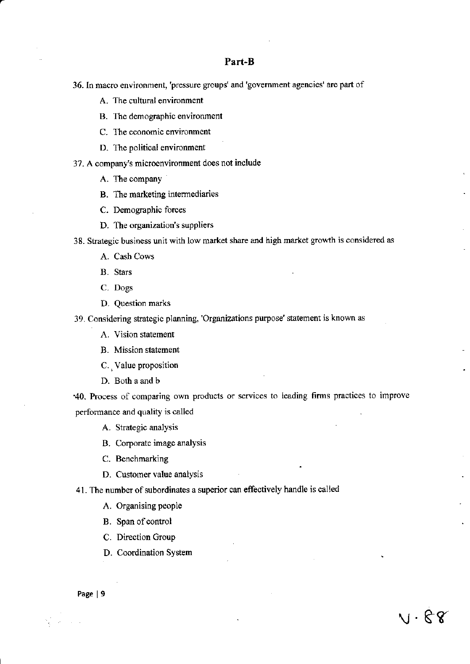## Part-B

- 36. In macro environment, 'pressure groups' and 'government agencies' are part of
	- A. The cultural environment
	- B. The demographic environment
	- C. The eoonomic environment
	- D. The political environment
- 37. A company's microenvironment does not include
	- A. The company
	- B. The marketing intermediaries
	- C. Demographic forces
	- D. The organization's suppliers

38. Stategic business unit with low market share and high market growth is considered as

- A. Cash Cows
- B. Stars
- C. Dogs
- D. Question marks

39. Considering strategic planning, 'Organizations purpose' statement is known as

- A. Vision statement
- B. Mission statement
- C. , Value proposition
- D. Both a and b

'40. Process of comparing own products or services to leading firms practices to improve performance and quality is called

"

 $\vee\hspace{-0.9mm}\cdot\mathbb{R}$   $\cdot$ 

A. Strategic analysis

- B. Corporate image analysis
- C. Benchmarking
- D. Customer value analysis
- 41. The number of subordinates a superior can effeotively handle is called
	- A. Organising people
	- B. Span of control
	- C. Direction Group
	- D. Coordination System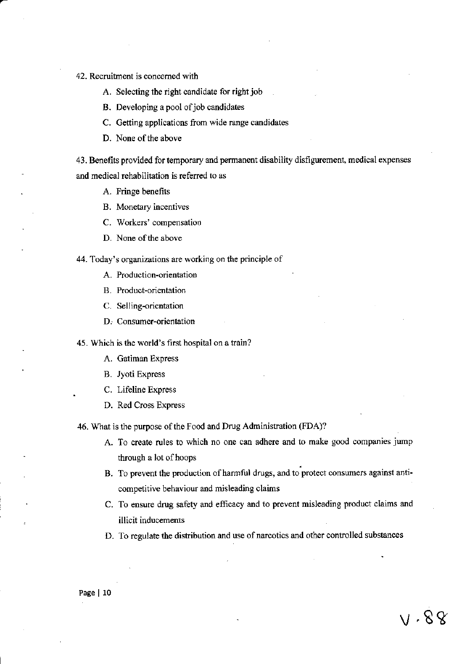- 42. Recruitment is concerned with
	- A. Selecting the right candidate for right job
	- B. Developing a pool of job candidates
	- C. Getting applications from wide range candidates
	- D. None of the above

43. Benefits provided for temporary and permanent disability disfigurement, medical expenses and medical rehabilitation is referred to as

- A. Fringe benefits
- B. Monetary incentives
- C. Workers' compensation
- D. None of the above
- 44. Today's organizations are working on the principle of
	- A. Production-orientation
	- B. Product-orientation
	- C. Selling-orientation
	- D. Consumer-orientation

45. Which is the world's first hospital on a train?

- A. Gatiman Express
- **B.** Jyoti Express
- C. Lifeline Express
- D. Red Cross Express

46. What is the purpose of the Food and Drug Administration (FDA)?

- A. To create rules to which no one can adhere and to make good companies jump through a lot of hoops
- B. To prevent the production of harmful drugs, and to protect consumers against anticompetitive behaviour and misleading claims
- C. To ensure drug safety and efficacy and to prevent misleading product claims and illicit inducements
- D. To regulate the distribution and use of narcotics and other controlled substances

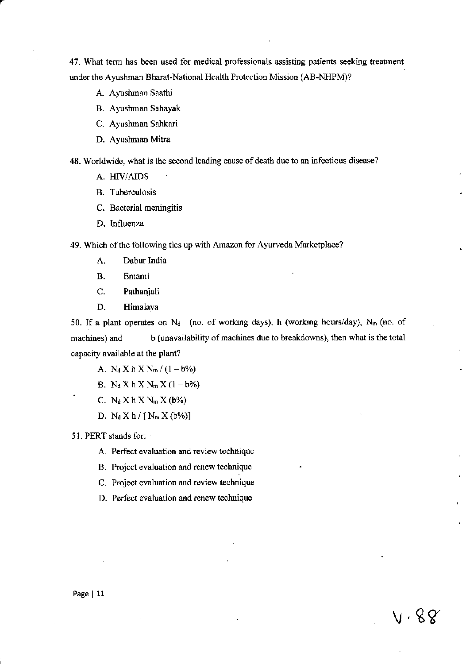47. What term has been used for medical professionals assisting patients seeking treatment under the Ayushman Bharat-National Health Protection Mission (AB-NHPM)?

- A. Ayushman Saathi
- B. Ayushman Sahayak
- C. Ayushman Sahkari
- D. Ayushman Mitra

48. Worldwide, what is the second leading cause of death due to an infectious disease?

- A. HIV/AIDS
- B. Tuberculosis
- C. Bacterial meningitis
- D. Influenza

49. Which of the following ties up with Amazon for Ayurveda Marketplace?

- A. Dabur India
- B. Emami
- C. Pathanjali
- D. Himalaya

50. If a plant operates on  $N_d$  (no. of working days), h (working hours/day),  $N_m$  (no. of machines) and b (unavailability of machines due to breakdowns), then what is the total capacity available at the plant?

- A.  $N_d X h X N_m / (1-b\%)$
- B.  $N_d X h X N_m X (1 b\%)$
- C.  $N_d X h X N_m X (b%)$
- D.  $N_d X h / [N_m X(b\%)]$

51. PERT stands for:

- A. Perfect evaluation and review technique
- B. Project evaluation and renew technique
- C. Projeot evaluation and review teohnique
- D. Perfect evaluation and renew technique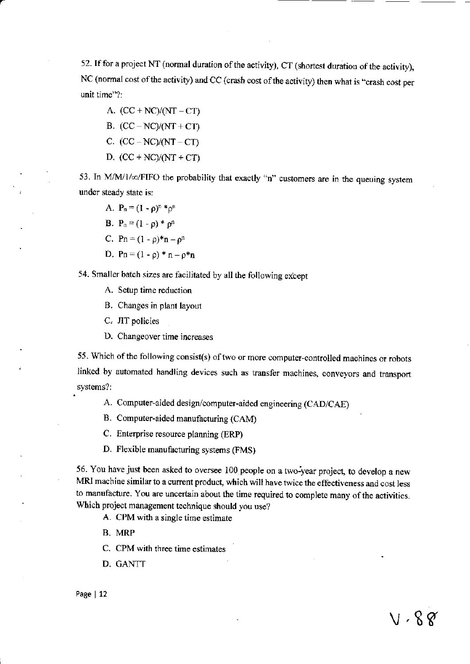52. If for a project NT (normal duration of the activity), CT (shortest duration of the activity), NC (normal cost of the activity) and CC (crash cost of the activity) then what is "crash cost per unit time"?:

A.  $(CC + NC)/(NT - CT)$ B.  $(CC - NC)/(NT + CT)$ 

- C.  $(CC NC)/(NT CT)$
- D.  $(CC + NC)/(NT + CT)$

53. In M/M/1/ $\infty$ /FIFO the probability that exactly "n" customers are in the queuing system under steady state is:

- A.  $P_n = (1 \rho)^n *_{\rho^n}$
- B.  $P_n = (1 \rho)^* \rho^n$
- C. Pn =  $(1 \rho)^*$ n  $\rho^n$
- D. Pn =  $(1 \rho) * n \rho * n$

54. Smaller batch sizes are facilitated by all the following except

- A. Setup time reduction
- B. Changes in plant layout
- C. IT policies
- D. Changeover time increases

55. Which of the following consist(s) of two or more computer-controlled machines or robots linked by automated handling devices such as transfer machines, conveyors and transport systems?:

- A. Computer-aided design/computer-aided engineering (CAD/CAE)
- B. Computer-aided manufacturing (CAM)
- C. Enterprise resource planning (ERP)
- D. Flexible manufacturing systems (FMS)

56. You have just been asked to oversee 100 people on a two-year project, to develop a new MRI machine similar to a current product, which will have twice the effectiveness and cost less to manufacture. You are uncertain about the time required to complete many of the activities. Which project management technique should you use?

- A. CPM with a single time estimate
- B. MRP
- C. CPM with three time ostimates
- D. CANTT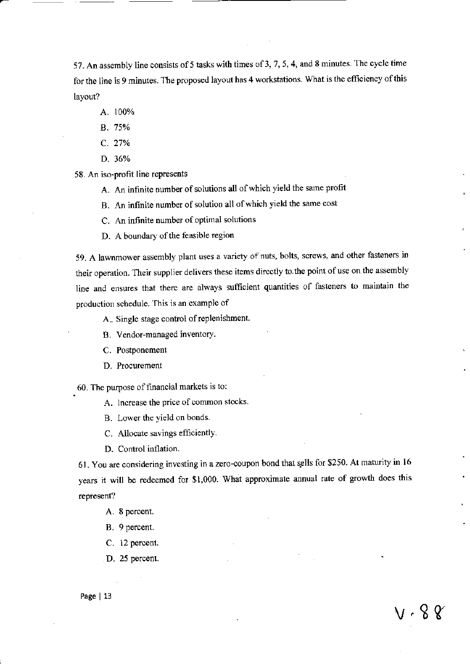57. An assembly line consists of 5 tasks with times of 3, 7, 5, 4, and 8 minutes. The cycle time for the line is 9 minutes. The proposed layout has 4 workstations. What is the efficiency of this layout?

- A. 100%
- B. 75%
- c. 27%
- D. 36%

58. An iso-profit line represents

- A. An infinite number of solutions all of which yield the same profit
- B. An infinite number of solution all of which yield the same cost
- C. An infinite number of optimal solutions
- D. A boundary of the feasible region

59. A lawnmower assembly plant uses a variety of nuts, bolts, screws, and other fasteners in their operation. Their supplier delivers these items directly to the point of use on the assembly line and ensures that there arc always sufficient quantities of fasteners to maintain the production schedule. fhis is an example of

A.. Single stage control of replenishment.

- B. Vendor-managed inventory.
- C. Postponement
- D. Procurement

60. The purpose of financial markets is to:

- A. Increase the price of common stocks.
- B. Lower the yield on bonds.
- C. Allocate savings efficiently.
- D. Control inflation.

61. You are considering investing in a zero-coupon bond that sells for \$250. At maturity in 16 years it will be redeemed for \$1,000. What approximate annual rate of growth does this represent?

- A. 8 percent.
- B. 9 percent.
- C. 12 percent.
- D. 25 percent.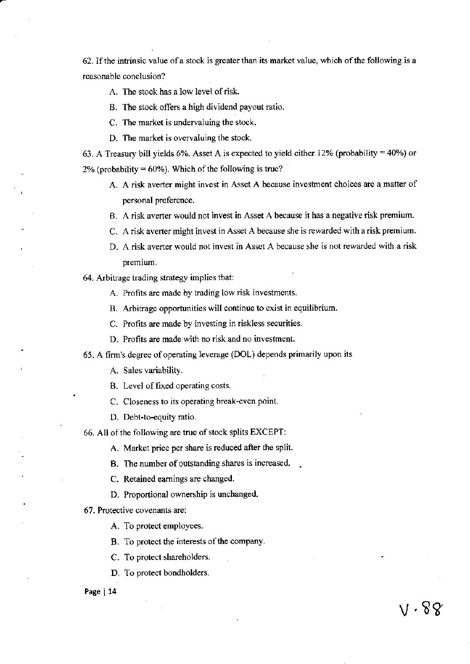62. If the intrinsic value of a stock is greater than its market value, which of the following is a reasonable conclusion?

#### A. The stock has a low level of risk.

- B. The stock offers a high dividend payout ratio.
- C. The market is undervaluing the stock.
- D. The market is overvaluing the stock.

63. A Treasury bill yields 6%. Asset A is expected to yield either 12% (probability =  $40\%$ ) or 2% (probability =  $60\%$ ). Which of the following is true?

- A. A risk averter might invest in Asset A because investnent choices are a matter of personal preference.
- B. A risk averter would not invest in Asset A because it has a negative risk premium.
- C. A risk averter might invest in Asset A because she is rewarded with a risk premium.
- D. A risk averter would not invest in Asset A because she is not rewarded with a risk premium.
- 64. Arbitrage trading strategy implies that:
	- A. Profits are made by trading low risk investments.
	- B. Arbitrage opportunities will continue to exist in equilibrium.
	- C. Profits are made by investing in riskless securities.
	- D. Profits are made with no risk and no investment.
- 65. A firm's degree of operating leverage (DOL) depends primarily upon its

A. Sales variability.

B. Level of fixed operating costs.

- C. Closeness to its operating break-even point.
- D. Debt-to-equity ratio.
- 66. All of the following are true of stock splits EXCEPT:

A. Market price per share is reduced after the split.

- B. The number of outstanding shares is increased. .
- C. Retained eamings are changed.
- D. Proportional ownership is unchanged.

67. Proteotive covenants arc:

A. To protect employees.

B. To protect the interests of the company.

C. To protect shareholders.

D. To protect bondholders.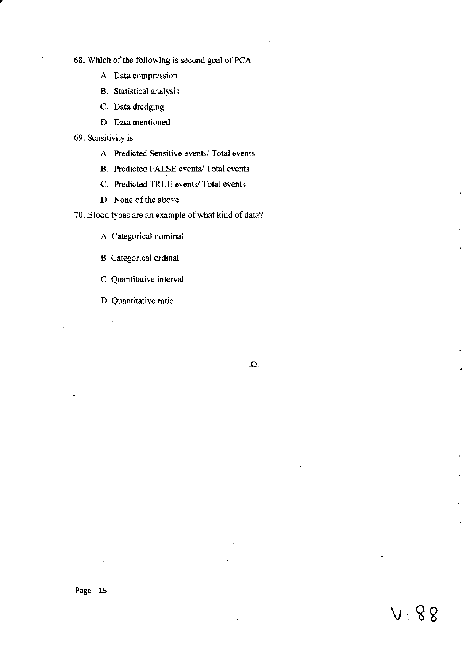68. Which of the following is second goal of PCA

- A. Data compression
- B. Statistical analysis
- C. Data dredging
- D. Data mentioned

69. Sensitiviry is

- A. Predicted Sensitive events/ Total events
- B. Predicted FAISE events/ Total events
- C. Predicted TRUE events/ Total events
- D. None of the above

70. Blood types are an example of what kind of data?

A Categorical nominal

- B Categorical ordinal
- C Quantitative interval
- D Quantitative ratio